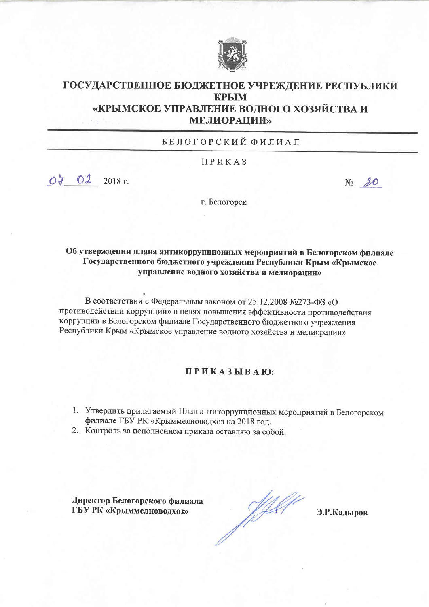

## ГОСУДАРСТВЕННОЕ БЮДЖЕТНОЕ УЧРЕЖДЕНИЕ РЕСПУБЛИКИ **КРЫМ** «КРЫМСКОЕ УПРАВЛЕНИЕ ВОДНОГО ХОЗЯЙСТВА И **МЕЛИОРАЦИИ»**

БЕЛОГОРСКИЙ ФИЛИАЛ

ПРИКАЗ

 $07022018$  r.

 $N_2$  20

г. Белогорск

Об утверждении плана антикоррупционных мероприятий в Белогорском филиале Государственного бюджетного учреждения Республики Крым «Крымское управление водного хозяйства и мелиорации»

В соответствии с Федеральным законом от 25.12.2008 №273-ФЗ «О противодействии коррупции» в целях повышения эффективности противодействия коррупции в Белогорском филиале Государственного бюджетного учреждения Республики Крым «Крымское управление водного хозяйства и мелиорации»

## ПРИКАЗЫВАЮ:

- 1. Утвердить прилагаемый План антикоррупционных мероприятий в Белогорском филиале ГБУ РК «Крыммелиоводхоз на 2018 год.
- 2. Контроль за исполнением приказа оставляю за собой.

Директор Белогорского филиала ГБУ РК «Крыммелиоводхоз»

J Y Y

Э.Р.Кадыров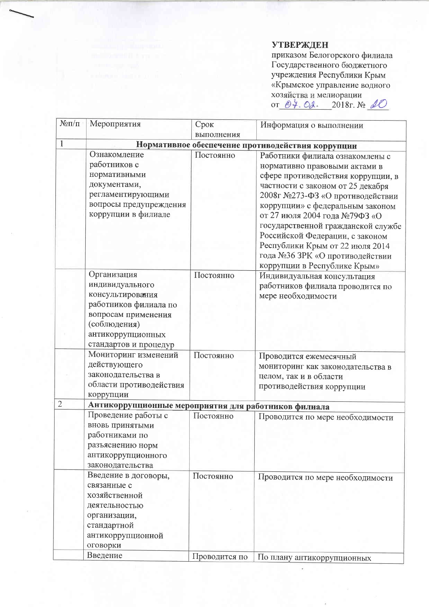## **УТВЕРЖДЕН**

 $\overline{\phantom{a}}$ 

приказом Белогорского филиала<br>Государственного бюджетного<br>учреждения Республики Крым «Крымское управление водного хозяйства и мелиорации<br>oт  $\frac{\partial \varphi}{\partial \alpha}$ . 2018г. № 10

| $N$ <sup>o</sup> $\Pi$ / $\Pi$ | Мероприятия                                                                                                                                                      | Срок          | Информация о выполнении                                                                                                                                                                                                                                                                                                                                                                                                                                  |
|--------------------------------|------------------------------------------------------------------------------------------------------------------------------------------------------------------|---------------|----------------------------------------------------------------------------------------------------------------------------------------------------------------------------------------------------------------------------------------------------------------------------------------------------------------------------------------------------------------------------------------------------------------------------------------------------------|
| 1                              |                                                                                                                                                                  | выполнения    |                                                                                                                                                                                                                                                                                                                                                                                                                                                          |
|                                | Ознакомление<br>работников с<br>нормативными<br>документами,<br>регламентирующими<br>вопросы предупреждения<br>коррупции в филиале                               | Постоянно     | Нормативное обеспечение противодействия коррупции<br>Работники филиала ознакомлены с<br>нормативно правовыми актами в<br>сфере противодействия коррупции, в<br>частности с законом от 25 декабря<br>2008г №273-ФЗ «О противодействии<br>коррупции» с федеральным законом<br>от 27 июля 2004 года №79ФЗ «О<br>государственной гражданской службе<br>Российской Федерации, с законом<br>Республики Крым от 22 июля 2014<br>года №36 ЗРК «О противодействии |
|                                | Организация<br>индивидуального<br>консультирования<br>работников филиала по<br>вопросам применения<br>(соблюдения)<br>антикоррупционных<br>стандартов и процедур | Постоянно     | коррупции в Республике Крым»<br>Индивидуальная консультация<br>работников филиала проводится по<br>мере необходимости                                                                                                                                                                                                                                                                                                                                    |
|                                | Мониторинг изменений<br>действующего<br>законодательства в<br>области противодействия<br>коррупции                                                               | Постоянно     | Проводится ежемесячный<br>мониторинг как законодательства в<br>целом, так и в области<br>противодействия коррупции                                                                                                                                                                                                                                                                                                                                       |
| $\overline{2}$                 | Антикоррупционные мероприятия для работников филиала                                                                                                             |               |                                                                                                                                                                                                                                                                                                                                                                                                                                                          |
|                                | Проведение работы с<br>вновь принятыми<br>работниками по<br>разъяснению норм<br>антикоррупционного<br>законодательства                                           | Постоянно     | Проводится по мере необходимости                                                                                                                                                                                                                                                                                                                                                                                                                         |
|                                | Введение в договоры,<br>связанные с<br>хозяйственной<br>деятельностью<br>организации,<br>стандартной<br>антикоррупционной<br>оговорки                            | Постоянно     | Проводится по мере необходимости                                                                                                                                                                                                                                                                                                                                                                                                                         |
|                                | Введение                                                                                                                                                         | Проводится по | По плану антикоррупционных                                                                                                                                                                                                                                                                                                                                                                                                                               |